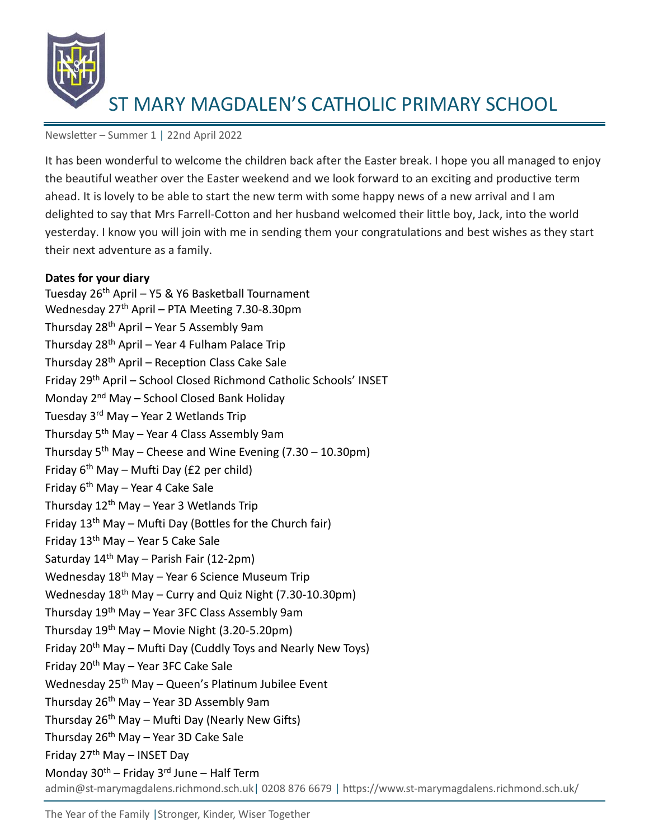

Newsletter – Summer 1 | 22nd April 2022

It has been wonderful to welcome the children back after the Easter break. I hope you all managed to enjoy the beautiful weather over the Easter weekend and we look forward to an exciting and productive term ahead. It is lovely to be able to start the new term with some happy news of a new arrival and I am delighted to say that Mrs Farrell-Cotton and her husband welcomed their little boy, Jack, into the world yesterday. I know you will join with me in sending them your congratulations and best wishes as they start their next adventure as a family.

### **Dates for your diary**

admin@st-marymagdalens.richmond.sch.uk| 0208 876 6679 | https://www.st-marymagdalens.richmond.sch.uk/ Tuesday 26th April – Y5 & Y6 Basketball Tournament Wednesday  $27<sup>th</sup>$  April – PTA Meeting 7.30-8.30pm Thursday  $28<sup>th</sup>$  April – Year 5 Assembly 9am Thursday  $28<sup>th</sup>$  April – Year 4 Fulham Palace Trip Thursday 28th April – Reception Class Cake Sale Friday 29th April – School Closed Richmond Catholic Schools' INSET Monday 2<sup>nd</sup> May – School Closed Bank Holiday Tuesday 3rd May – Year 2 Wetlands Trip Thursday 5th May – Year 4 Class Assembly 9am Thursday  $5<sup>th</sup>$  May – Cheese and Wine Evening (7.30 – 10.30pm) Friday  $6<sup>th</sup>$  May – Mufti Day (£2 per child) Friday  $6<sup>th</sup>$  May – Year 4 Cake Sale Thursday  $12^{th}$  May – Year 3 Wetlands Trip Friday  $13<sup>th</sup>$  May – Mufti Day (Bottles for the Church fair) Friday  $13<sup>th</sup>$  May – Year 5 Cake Sale Saturday  $14<sup>th</sup>$  May – Parish Fair (12-2pm) Wednesday  $18<sup>th</sup>$  May – Year 6 Science Museum Trip Wednesday 18<sup>th</sup> May – Curry and Quiz Night (7.30-10.30pm) Thursday  $19<sup>th</sup>$  May – Year 3FC Class Assembly 9am Thursday  $19<sup>th</sup>$  May – Movie Night (3.20-5.20pm) Friday  $20<sup>th</sup>$  May – Mufti Day (Cuddly Toys and Nearly New Toys) Friday 20th May – Year 3FC Cake Sale Wednesday 25<sup>th</sup> May – Queen's Platinum Jubilee Event Thursday  $26<sup>th</sup>$  May – Year 3D Assembly 9am Thursday  $26<sup>th</sup>$  May – Mufti Day (Nearly New Gifts) Thursday  $26^{th}$  May – Year 3D Cake Sale Friday  $27<sup>th</sup>$  May – INSET Day Monday  $30^{th}$  – Friday 3<sup>rd</sup> June – Half Term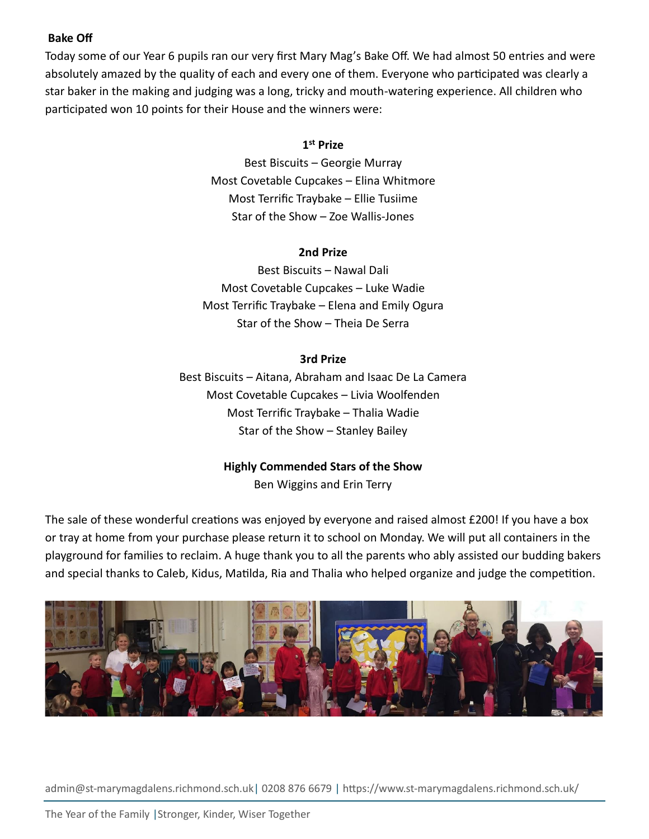# **Bake Off**

Today some of our Year 6 pupils ran our very first Mary Mag's Bake Off. We had almost 50 entries and were absolutely amazed by the quality of each and every one of them. Everyone who participated was clearly a star baker in the making and judging was a long, tricky and mouth-watering experience. All children who participated won 10 points for their House and the winners were:

# **1 st Prize**

Best Biscuits – Georgie Murray Most Covetable Cupcakes – Elina Whitmore Most Terrific Traybake – Ellie Tusiime Star of the Show – Zoe Wallis-Jones

#### **2nd Prize**

Best Biscuits – Nawal Dali Most Covetable Cupcakes – Luke Wadie Most Terrific Traybake – Elena and Emily Ogura Star of the Show – Theia De Serra

#### **3rd Prize**

Best Biscuits – Aitana, Abraham and Isaac De La Camera Most Covetable Cupcakes – Livia Woolfenden Most Terrific Traybake – Thalia Wadie Star of the Show – Stanley Bailey

#### **Highly Commended Stars of the Show**

Ben Wiggins and Erin Terry

The sale of these wonderful creations was enjoyed by everyone and raised almost £200! If you have a box or tray at home from your purchase please return it to school on Monday. We will put all containers in the playground for families to reclaim. A huge thank you to all the parents who ably assisted our budding bakers and special thanks to Caleb, Kidus, Matilda, Ria and Thalia who helped organize and judge the competition.



admin@st-marymagdalens.richmond.sch.uk| 0208 876 6679 | https://www.st-marymagdalens.richmond.sch.uk/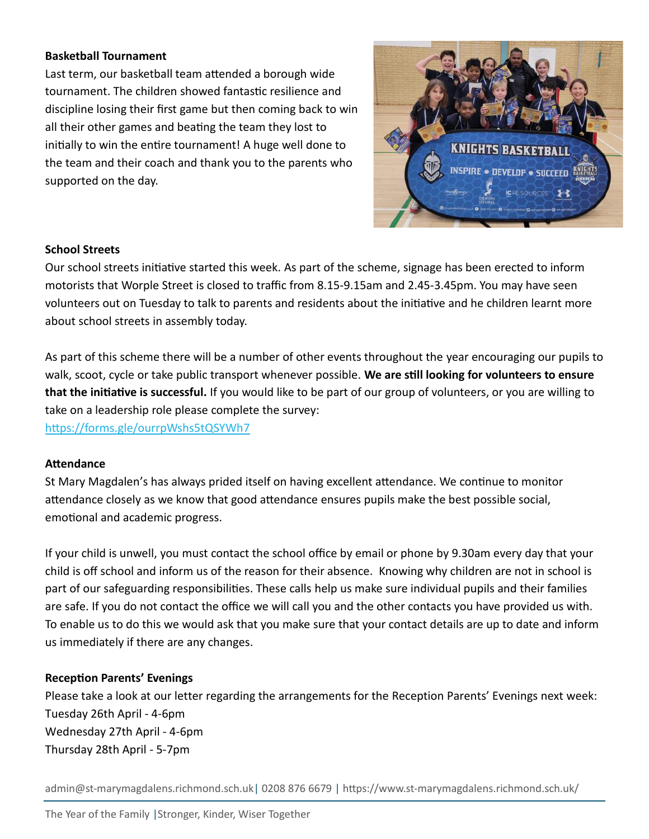## **Basketball Tournament**

Last term, our basketball team attended a borough wide tournament. The children showed fantastic resilience and discipline losing their first game but then coming back to win all their other games and beating the team they lost to initially to win the entire tournament! A huge well done to the team and their coach and thank you to the parents who supported on the day.



### **School Streets**

Our school streets initiative started this week. As part of the scheme, signage has been erected to inform motorists that Worple Street is closed to traffic from 8.15-9.15am and 2.45-3.45pm. You may have seen volunteers out on Tuesday to talk to parents and residents about the initiative and he children learnt more about school streets in assembly today.

As part of this scheme there will be a number of other events throughout the year encouraging our pupils to walk, scoot, cycle or take public transport whenever possible. **We are still looking for volunteers to ensure that the initiative is successful.** If you would like to be part of our group of volunteers, or you are willing to take on a leadership role please complete the survey: <https://forms.gle/ourrpWshs5tQSYWh7>

# **Attendance**

St Mary Magdalen's has always prided itself on having excellent attendance. We continue to monitor attendance closely as we know that good attendance ensures pupils make the best possible social, emotional and academic progress.

If your child is unwell, you must contact the school office by email or phone by 9.30am every day that your child is off school and inform us of the reason for their absence. Knowing why children are not in school is part of our safeguarding responsibilities. These calls help us make sure individual pupils and their families are safe. If you do not contact the office we will call you and the other contacts you have provided us with. To enable us to do this we would ask that you make sure that your contact details are up to date and inform us immediately if there are any changes.

# **Reception Parents' Evenings**

Please take a look at our letter regarding the arrangements for the Reception Parents' Evenings next week: Tuesday 26th April - 4-6pm Wednesday 27th April - 4-6pm Thursday 28th April - 5-7pm

admin@st-marymagdalens.richmond.sch.uk| 0208 876 6679 | https://www.st-marymagdalens.richmond.sch.uk/